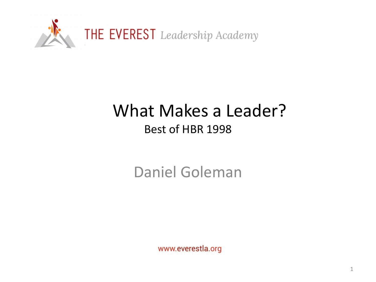

#### What Makes a Leader? Best of HBR 1998

Daniel Goleman

www.everestla.org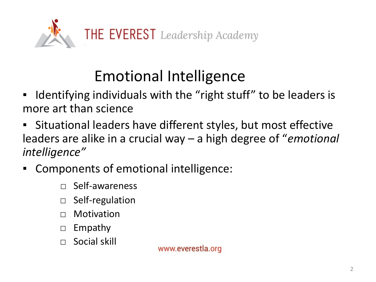

# Emotional Intelligence

- Identifying individuals with the "right stuff" to be leaders is more art than science
- Situational leaders have different styles, but most effective leaders are alike in a crucial way – a high degree of "*emotional intelligence"*
- *▪* Components of emotional intelligence:
	- $\Box$  Self-awareness
	- □ Self-regulation
	- $\Box$  Motivation
	- □ Empathy
	- $\Box$  Social skill

www.everestla.org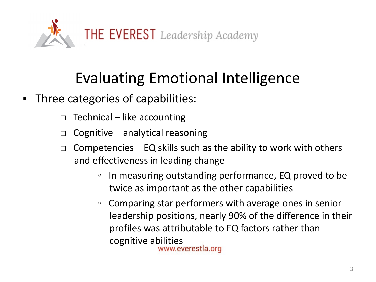

### Evaluating Emotional Intelligence

- Three categories of capabilities:
	- $\Box$  Technical like accounting
	- $\Box$  Cognitive analytical reasoning
	- $\Box$  Competencies EQ skills such as the ability to work with others and effectiveness in leading change
		- In measuring outstanding performance, EQ proved to be twice as important as the other capabilities
		- Comparing star performers with average ones in senior leadership positions, nearly 90% of the difference in their profiles was attributable to EQ factors rather than cognitive abilities<br>www.everestla.org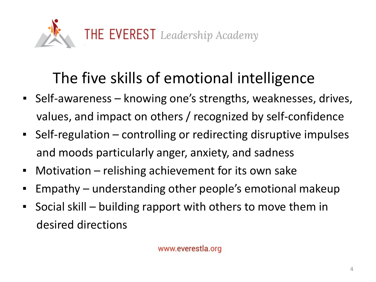

## The five skills of emotional intelligence

- Self-awareness knowing one's strengths, weaknesses, drives, values, and impact on others / recognized by self-confidence
- Self-regulation controlling or redirecting disruptive impulses and moods particularly anger, anxiety, and sadness
- **■** Motivation relishing achievement for its own sake
- Empathy understanding other people's emotional makeup
- Social skill building rapport with others to move them in desired directions